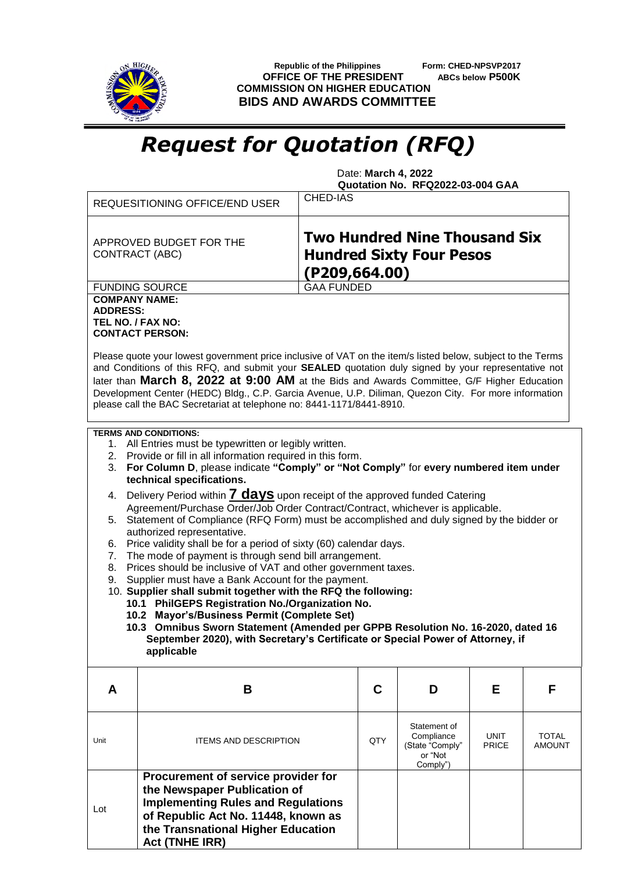

 **Republic of the Philippines Form: CHED-NPSVP2017 OFFICE OF THE PRESIDENT ABCs below P500K COMMISSION ON HIGHER EDUCATION BIDS AND AWARDS COMMITTEE**

## *Request for Quotation (RFQ)*

 Date: **March 4, 2022 Quotation No. RFQ2022-03-004 GAA**

|                                                                                                                                                                                                                                                                                                                                                                                                                                                                                                   | <b>REQUESITIONING OFFICE/END USER</b>                                                                                                                                                                                  | CHED-IAS |                                                                      |                      |                               |  |  |  |
|---------------------------------------------------------------------------------------------------------------------------------------------------------------------------------------------------------------------------------------------------------------------------------------------------------------------------------------------------------------------------------------------------------------------------------------------------------------------------------------------------|------------------------------------------------------------------------------------------------------------------------------------------------------------------------------------------------------------------------|----------|----------------------------------------------------------------------|----------------------|-------------------------------|--|--|--|
|                                                                                                                                                                                                                                                                                                                                                                                                                                                                                                   | <b>Two Hundred Nine Thousand Six</b><br>APPROVED BUDGET FOR THE<br><b>Hundred Sixty Four Pesos</b><br><b>CONTRACT (ABC)</b><br>$($ P209,664.00)                                                                        |          |                                                                      |                      |                               |  |  |  |
| <b>GAA FUNDED</b><br><b>FUNDING SOURCE</b>                                                                                                                                                                                                                                                                                                                                                                                                                                                        |                                                                                                                                                                                                                        |          |                                                                      |                      |                               |  |  |  |
| <b>COMPANY NAME:</b><br><b>ADDRESS:</b><br>TEL NO. / FAX NO:                                                                                                                                                                                                                                                                                                                                                                                                                                      | <b>CONTACT PERSON:</b>                                                                                                                                                                                                 |          |                                                                      |                      |                               |  |  |  |
| Please quote your lowest government price inclusive of VAT on the item/s listed below, subject to the Terms<br>and Conditions of this RFQ, and submit your SEALED quotation duly signed by your representative not<br>later than March 8, 2022 at 9:00 AM at the Bids and Awards Committee, G/F Higher Education<br>Development Center (HEDC) Bldg., C.P. Garcia Avenue, U.P. Diliman, Quezon City. For more information<br>please call the BAC Secretariat at telephone no: 8441-1171/8441-8910. |                                                                                                                                                                                                                        |          |                                                                      |                      |                               |  |  |  |
| <b>TERMS AND CONDITIONS:</b><br>1. All Entries must be typewritten or legibly written.<br>2. Provide or fill in all information required in this form.<br>For Column D, please indicate "Comply" or "Not Comply" for every numbered item under<br>3.<br>technical specifications.                                                                                                                                                                                                                 |                                                                                                                                                                                                                        |          |                                                                      |                      |                               |  |  |  |
| Delivery Period within 7 days upon receipt of the approved funded Catering<br>4.<br>Agreement/Purchase Order/Job Order Contract/Contract, whichever is applicable.<br>Statement of Compliance (RFQ Form) must be accomplished and duly signed by the bidder or<br>5.                                                                                                                                                                                                                              |                                                                                                                                                                                                                        |          |                                                                      |                      |                               |  |  |  |
| authorized representative.<br>Price validity shall be for a period of sixty (60) calendar days.<br>6.<br>The mode of payment is through send bill arrangement.<br>7.                                                                                                                                                                                                                                                                                                                              |                                                                                                                                                                                                                        |          |                                                                      |                      |                               |  |  |  |
| Prices should be inclusive of VAT and other government taxes.<br>8.<br>Supplier must have a Bank Account for the payment.<br>9.                                                                                                                                                                                                                                                                                                                                                                   |                                                                                                                                                                                                                        |          |                                                                      |                      |                               |  |  |  |
|                                                                                                                                                                                                                                                                                                                                                                                                                                                                                                   | 10. Supplier shall submit together with the RFQ the following:<br>10.1 PhilGEPS Registration No./Organization No.                                                                                                      |          |                                                                      |                      |                               |  |  |  |
| 10.2 Mayor's/Business Permit (Complete Set)<br>10.3 Omnibus Sworn Statement (Amended per GPPB Resolution No. 16-2020, dated 16<br>September 2020), with Secretary's Certificate or Special Power of Attorney, if<br>applicable                                                                                                                                                                                                                                                                    |                                                                                                                                                                                                                        |          |                                                                      |                      |                               |  |  |  |
| A                                                                                                                                                                                                                                                                                                                                                                                                                                                                                                 | B                                                                                                                                                                                                                      | C        | D                                                                    | Е                    | F                             |  |  |  |
| Unit                                                                                                                                                                                                                                                                                                                                                                                                                                                                                              | <b>ITEMS AND DESCRIPTION</b>                                                                                                                                                                                           | QTY      | Statement of<br>Compliance<br>(State "Comply"<br>or "Not<br>Comply") | UNIT<br><b>PRICE</b> | <b>TOTAL</b><br><b>AMOUNT</b> |  |  |  |
| Lot                                                                                                                                                                                                                                                                                                                                                                                                                                                                                               | Procurement of service provider for<br>the Newspaper Publication of<br><b>Implementing Rules and Regulations</b><br>of Republic Act No. 11448, known as<br>the Transnational Higher Education<br><b>Act (TNHE IRR)</b> |          |                                                                      |                      |                               |  |  |  |